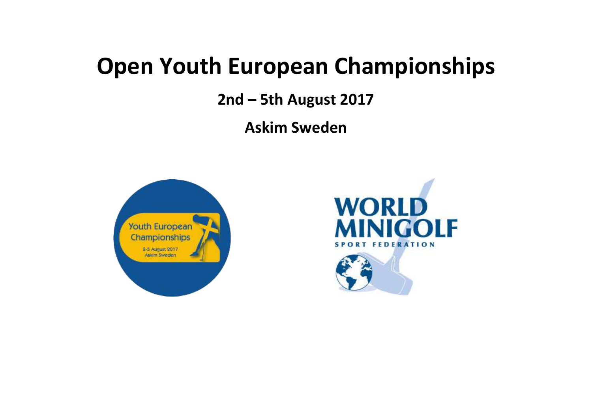# **Open Youth European Championships**

**2nd – 5th August 2017**

**Askim Sweden**





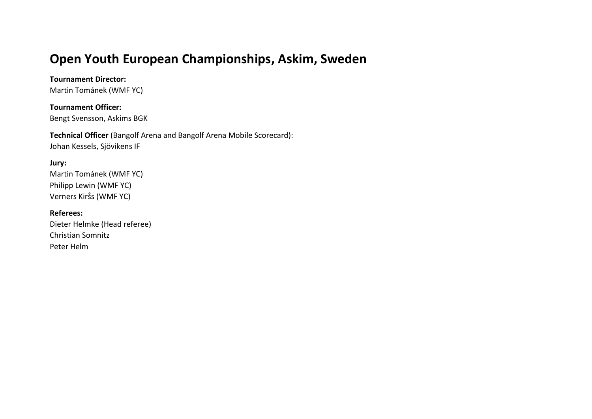# **Open Youth European Championships, Askim, Sweden**

**Tournament Director:**

Martin Tománek (WMF YC)

**Tournament Officer:** Bengt Svensson, Askims BGK

**Technical Officer** (Bangolf Arena and Bangolf Arena Mobile Scorecard): Johan Kessels, Sjövikens IF

#### **Jury:**

Martin Tománek (WMF YC) Philipp Lewin (WMF YC) Verners Kirṧs (WMF YC)

**Referees:** Dieter Helmke (Head referee) Christian Somnitz Peter Helm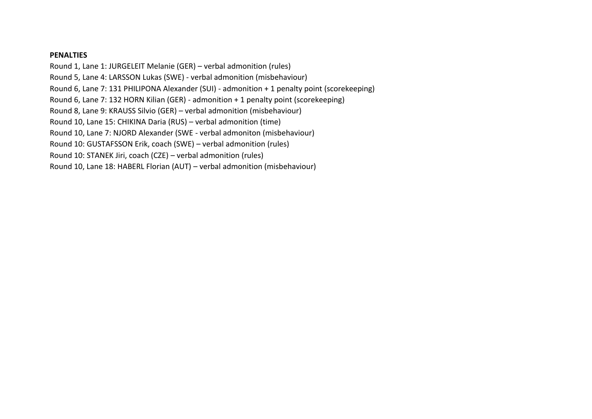#### **PENALTIES**

Round 1, Lane 1: JURGELEIT Melanie (GER) – verbal admonition (rules) Round 5, Lane 4: LARSSON Lukas (SWE) - verbal admonition (misbehaviour) Round 6, Lane 7: 131 PHILIPONA Alexander (SUI) - admonition + 1 penalty point (scorekeeping) Round 6, Lane 7: 132 HORN Kilian (GER) - admonition + 1 penalty point (scorekeeping) Round 8, Lane 9: KRAUSS Silvio (GER) – verbal admonition (misbehaviour) Round 10, Lane 15: CHIKINA Daria (RUS) – verbal admonition (time) Round 10, Lane 7: NJORD Alexander (SWE - verbal admoniton (misbehaviour) Round 10: GUSTAFSSON Erik, coach (SWE) – verbal admonition (rules) Round 10: STANEK Jiri, coach (CZE) – verbal admonition (rules) Round 10, Lane 18: HABERL Florian (AUT) – verbal admonition (misbehaviour)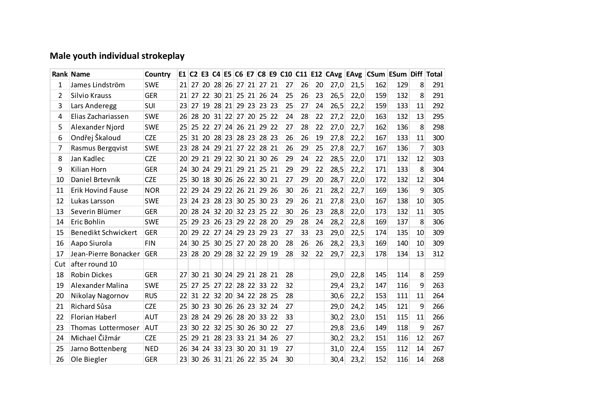## **Male youth individual strokeplay**

|     | Rank Name                  | Country    |           |                 |                 |                 |                |          |         |                 |         |    |    |    |      |      | E1 C2 E3 C4 E5 C6 E7 C8 E9 C10 C11 E12 CAvg EAvg CSum ESum Diff Total |     |                |     |
|-----|----------------------------|------------|-----------|-----------------|-----------------|-----------------|----------------|----------|---------|-----------------|---------|----|----|----|------|------|-----------------------------------------------------------------------|-----|----------------|-----|
| 1   | James Lindström            | <b>SWE</b> | 21        | 27              | 20 <sup>1</sup> |                 | 28 26 27 21    |          |         | 27 21           |         | 27 | 26 | 20 | 27,0 | 21,5 | 162                                                                   | 129 | 8              | 291 |
| 2   | Silvio Krauss              | <b>GER</b> | 21        | 27              | 22              |                 | 30 21 25 21    |          |         | 26              | 24      | 25 | 26 | 23 | 26,5 | 22,0 | 159                                                                   | 132 | 8              | 291 |
| 3   | Lars Anderegg              | SUI        | 23        | 27              | 19              |                 | 28 21 29 23    |          |         | 23 23           |         | 25 | 27 | 24 | 26,5 | 22,2 | 159                                                                   | 133 | 11             | 292 |
| 4   | Elias Zachariassen         | <b>SWE</b> | 26        | 28              | 20 <sup>1</sup> | 31              |                | 22 27 20 |         | 25 22           |         | 24 | 28 | 22 | 27,2 | 22,0 | 163                                                                   | 132 | 13             | 295 |
| 5   | Alexander Njord            | <b>SWE</b> | 25        | 25              | 22              |                 | 27 24 26 21    |          |         |                 | $29$ 22 | 27 | 28 | 22 | 27,0 | 22,7 | 162                                                                   | 136 | 8              | 298 |
| 6   | Ondřej Škaloud             | <b>CZE</b> | 25        | 31              |                 |                 | 20 28 23 28 23 |          |         | 28 23           |         | 26 | 26 | 19 | 27,8 | 22,2 | 167                                                                   | 133 | 11             | 300 |
| 7   | Rasmus Bergqvist           | <b>SWE</b> | 23        | 28              | 24              | 29              |                | 21 27 22 |         | 28 21           |         | 26 | 29 | 25 | 27,8 | 22,7 | 167                                                                   | 136 | $\overline{7}$ | 303 |
| 8   | Jan Kadlec                 | <b>CZE</b> | 20        | 29              | 21              |                 | 29 22          |          | 30 21   |                 | 30 26   | 29 | 24 | 22 | 28,5 | 22,0 | 171                                                                   | 132 | 12             | 303 |
| 9   | Kilian Horn                | <b>GER</b> | 24        | 30 <sup>°</sup> |                 |                 | 24 29 21 29 21 |          |         | $25$ 21         |         | 29 | 29 | 22 | 28,5 | 22,2 | 171                                                                   | 133 | 8              | 304 |
| 10  | Daniel Brtevník            | <b>CZE</b> | 25        | 30              | 18              |                 | 30 26          |          | 26 22   | 30 <sup>2</sup> | 21      | 27 | 29 | 20 | 28,7 | 22,0 | 172                                                                   | 132 | 12             | 304 |
| 11  | <b>Erik Hovind Fause</b>   | <b>NOR</b> | 22        | 29              | 24              |                 | 29 22 26 21    |          |         |                 | 29 26   | 30 | 26 | 21 | 28,2 | 22,7 | 169                                                                   | 136 | 9              | 305 |
| 12  | Lukas Larsson              | <b>SWE</b> | 23        | 24              | 23              |                 | 28 23 30 25    |          |         | 30 23           |         | 29 | 26 | 21 | 27,8 | 23,0 | 167                                                                   | 138 | 10             | 305 |
| 13  | Severin Blümer             | <b>GER</b> | 20        | 28              | 24              |                 | 32   20        |          | 32 23   | 25              | -22     | 30 | 26 | 23 | 28,8 | 22,0 | 173                                                                   | 132 | 11             | 305 |
| 14  | Eric Bohlin                | <b>SWE</b> | 25        | 29              | 23 <sup>1</sup> |                 | 26 23 29 22    |          |         |                 | 28 20   | 29 | 28 | 24 | 28,2 | 22,8 | 169                                                                   | 137 | 8              | 306 |
| 15  | <b>Benedikt Schwickert</b> | <b>GER</b> | <b>20</b> | 29              |                 |                 | 22 27 24 29 23 |          |         |                 | 29 23   | 27 | 33 | 23 | 29,0 | 22,5 | 174                                                                   | 135 | 10             | 309 |
| 16  | Aapo Siurola               | <b>FIN</b> | 24        | 30              | 25              | 30 <sup>2</sup> | 25             | 27       | 20      | 28              | 20      | 28 | 26 | 26 | 28,2 | 23,3 | 169                                                                   | 140 | 10             | 309 |
| 17  | Jean-Pierre Bonacker       | <b>GER</b> | 23        | 28              |                 |                 | 20 29 28 32 22 |          |         | 29 19           |         | 28 | 32 | 22 | 29,7 | 22,3 | 178                                                                   | 134 | 13             | 312 |
| Cut | after round 10             |            |           |                 |                 |                 |                |          |         |                 |         |    |    |    |      |      |                                                                       |     |                |     |
| 18  | <b>Robin Dickes</b>        | <b>GER</b> | 27        | 30              | 21              | 30 <sup>1</sup> | 24             | 29       | 21      | 28              | 21      | 28 |    |    | 29,0 | 22,8 | 145                                                                   | 114 | 8              | 259 |
| 19  | Alexander Malina           | <b>SWE</b> | 25        | 27              | 25 <sup>1</sup> |                 | 27 22 28 22    |          |         | 33 22           |         | 32 |    |    | 29,4 | 23,2 | 147                                                                   | 116 | 9              | 263 |
| 20  | Nikolay Nagornov           | <b>RUS</b> | 22        | 31              |                 |                 | $22$ 32 20     |          | 34 22   | 28 25           |         | 28 |    |    | 30,6 | 22,2 | 153                                                                   | 111 | 11             | 264 |
| 21  | Richard Sůsa               | <b>CZE</b> | 25        | 30              | 23 <sup>1</sup> |                 | 30 26          |          | 26 23   |                 | 32 24   | 27 |    |    | 29,0 | 24,2 | 145                                                                   | 121 | 9              | 266 |
| 22  | <b>Florian Haberl</b>      | <b>AUT</b> | 23        | 28              | 24              |                 | 29 26          |          | 28 20   | 33 22           |         | 33 |    |    | 30,2 | 23,0 | 151                                                                   | 115 | 11             | 266 |
| 23  | Thomas Lottermoser         | <b>AUT</b> | 23        | 30              | 22              |                 | 32 25          |          | $30$ 26 | 30 <sup>°</sup> | 22      | 27 |    |    | 29,8 | 23,6 | 149                                                                   | 118 | 9              | 267 |
| 24  | Michael Čižmár             | <b>CZE</b> | 25        | 29              | 21              |                 | 28 23          |          | 33 21   | 34              | 26      | 27 |    |    | 30,2 | 23,2 | 151                                                                   | 116 | 12             | 267 |
| 25  | Jarno Bottenberg           | <b>NED</b> | 26        | 34              | 24              |                 | 33 23          |          | 30 20   | 31 19           |         | 27 |    |    | 31,0 | 22,4 | 155                                                                   | 112 | 14             | 267 |
| 26  | Ole Biegler                | <b>GER</b> | 23        | 30 <sup>1</sup> | 26              |                 | 31 21 26 22 35 |          |         |                 | 24      | 30 |    |    | 30,4 | 23,2 | 152                                                                   | 116 | 14             | 268 |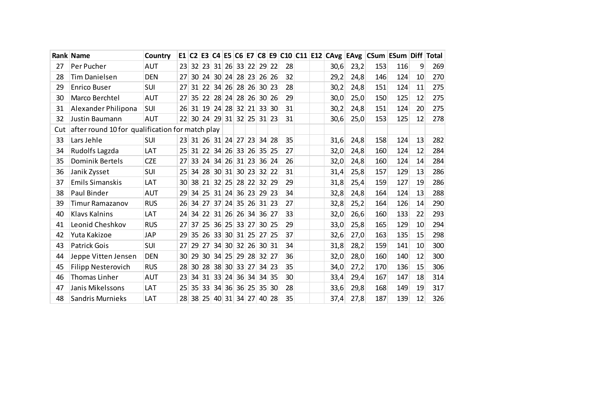|     | <b>Rank Name</b>                                | <b>Country</b> |    |                 |                 |            |                         |       |         |            |    |  |      |      | E1 C2 E3 C4 E5 C6 E7 C8 E9 C10 C11 E12 CAvg EAvg CSum ESum Diff Total |     |    |     |
|-----|-------------------------------------------------|----------------|----|-----------------|-----------------|------------|-------------------------|-------|---------|------------|----|--|------|------|-----------------------------------------------------------------------|-----|----|-----|
| 27  | Per Pucher                                      | <b>AUT</b>     | 23 | 32              | 23              |            | 31 26 33 22             |       | $29$ 22 |            | 28 |  | 30,6 | 23,2 | 153                                                                   | 116 | 9  | 269 |
| 28  | <b>Tim Danielsen</b>                            | <b>DEN</b>     | 27 | 30 <sup>°</sup> | 24              | 30 24      |                         | 28 23 |         | 26 26      | 32 |  | 29,2 | 24,8 | 146                                                                   | 124 | 10 | 270 |
| 29  | <b>Enrico Buser</b>                             | <b>SUI</b>     | 27 | 31              |                 | $22$ 34 26 | 28 26                   |       | 30 23   |            | 28 |  | 30,2 | 24,8 | 151                                                                   | 124 | 11 | 275 |
| 30  | Marco Berchtel                                  | <b>AUT</b>     | 27 | 35 <sub>1</sub> | 22              | 28 24      | 28                      | 26    | 30 26   |            | 29 |  | 30,0 | 25,0 | 150                                                                   | 125 | 12 | 275 |
| 31  | Alexander Philipona                             | SUI            | 26 |                 |                 |            | 31 19 24 28 32 21 33 30 |       |         |            | 31 |  | 30,2 | 24,8 | 151                                                                   | 124 | 20 | 275 |
| 32  | Justin Baumann                                  | <b>AUT</b>     | 22 |                 |                 |            | 30 24 29 31 32 25 31 23 |       |         |            | 31 |  | 30,6 | 25,0 | 153                                                                   | 125 | 12 | 278 |
| Cut | after round 10 for qualification for match play |                |    |                 |                 |            |                         |       |         |            |    |  |      |      |                                                                       |     |    |     |
| 33  | Lars Jehle                                      | <b>SUI</b>     | 23 |                 |                 |            | 31 26 31 24 27 23       |       |         | 34 28      | 35 |  | 31,6 | 24,8 | 158                                                                   | 124 | 13 | 282 |
| 34  | Rudolfs Lagzda                                  | LAT            | 25 | 31              | 22              |            | $34$ 26 33              | 26    |         | $35 \, 25$ | 27 |  | 32,0 | 24,8 | 160                                                                   | 124 | 12 | 284 |
| 35  | <b>Dominik Bertels</b>                          | <b>CZE</b>     | 27 | 33              | 24              |            | 34 26 31 23             |       |         | $36$ 24    | 26 |  | 32,0 | 24,8 | 160                                                                   | 124 | 14 | 284 |
| 36  | Janik Zysset                                    | SUI            | 25 | 34              | 28              | 30 31      |                         | 30 23 | 32 22   |            | 31 |  | 31,4 | 25,8 | 157                                                                   | 129 | 13 | 286 |
| 37  | <b>Emils Simanskis</b>                          | LAT            | 30 | 38              |                 |            | 21 32 25 28 22          |       | 32 29   |            | 29 |  | 31,8 | 25,4 | 159                                                                   | 127 | 19 | 286 |
| 38  | Paul Binder                                     | <b>AUT</b>     | 29 | 34              | 25 <sup>1</sup> | 31   24    |                         | 36 23 | 29 23   |            | 34 |  | 32,8 | 24,8 | 164                                                                   | 124 | 13 | 288 |
| 39  | <b>Timur Ramazanov</b>                          | <b>RUS</b>     | 26 |                 |                 |            | 34 27 37 24 35 26 31 23 |       |         |            | 27 |  | 32,8 | 25,2 | 164                                                                   | 126 | 14 | 290 |
| 40  | <b>Klavs Kalnins</b>                            | LAT            | 24 | 34              |                 | $22$ 31 26 |                         | 26 34 | 36 27   |            | 33 |  | 32,0 | 26,6 | 160                                                                   | 133 | 22 | 293 |
| 41  | Leonid Cheshkov                                 | <b>RUS</b>     | 27 | 37              | 25 <sub>1</sub> | 36 25      | 33 27                   |       |         | $30 \, 25$ | 29 |  | 33,0 | 25,8 | 165                                                                   | 129 | 10 | 294 |
| 42  | Yuta Kakizoe                                    | <b>JAP</b>     | 29 | 35              | 26              | 33 30      | 31 25                   |       |         | 27 25      | 37 |  | 32,6 | 27,0 | 163                                                                   | 135 | 15 | 298 |
| 43  | <b>Patrick Gois</b>                             | SUI            | 27 | 29              | 27              | 34 30      |                         | 32 26 | 30 31   |            | 34 |  | 31,8 | 28,2 | 159                                                                   | 141 | 10 | 300 |
| 44  | Jeppe Vitten Jensen                             | <b>DEN</b>     | 30 | 29              | 30 <sup>°</sup> |            | 34 25 29 28             |       | 32 27   |            | 36 |  | 32,0 | 28,0 | 160                                                                   | 140 | 12 | 300 |
| 45  | Filipp Nesterovich                              | <b>RUS</b>     | 28 | 30              | 28              | 38 30      | 33                      | 27    |         | $34$ 23    | 35 |  | 34,0 | 27,2 | 170                                                                   | 136 | 15 | 306 |
| 46  | Thomas Linher                                   | <b>AUT</b>     | 23 | 34              | 31              | 33 24      |                         | 36 34 |         | 34 35      | 30 |  | 33,4 | 29,4 | 167                                                                   | 147 | 18 | 314 |
| 47  | Janis Mikelssons                                | LAT            | 25 | 35 <sup>2</sup> | 33              | 34 36      |                         | 36 25 | 35 30   |            | 28 |  | 33,6 | 29,8 | 168                                                                   | 149 | 19 | 317 |
| 48  | <b>Sandris Murnieks</b>                         | LAT            | 28 |                 |                 |            | 38 25 40 31 34 27       |       | 40 28   |            | 35 |  | 37,4 | 27,8 | 187                                                                   | 139 | 12 | 326 |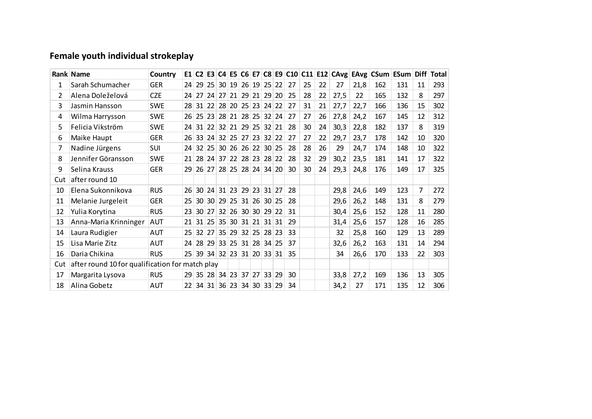## **Female youth individual strokeplay**

|     | Rank Name                                       | Country    |                 |                 |                 |                         |       |                   |                     |       |    |    |    |      |      | E1 C2 E3 C4 E5 C6 E7 C8 E9 C10 C11 E12 CAvg EAvg CSum ESum Diff Total |     |    |     |
|-----|-------------------------------------------------|------------|-----------------|-----------------|-----------------|-------------------------|-------|-------------------|---------------------|-------|----|----|----|------|------|-----------------------------------------------------------------------|-----|----|-----|
| 1   | Sarah Schumacher                                | <b>GER</b> | 24 <sup>1</sup> |                 |                 | 29 25 30 19 26 19 25 22 |       |                   |                     |       | 27 | 25 | 22 | 27   | 21,8 | 162                                                                   | 131 | 11 | 293 |
| 2   | Alena Doleželová                                | <b>CZE</b> | 24              | 27              | 24              |                         |       | 27 21 29 21 29 20 |                     |       | 25 | 28 | 22 | 27,5 | 22   | 165                                                                   | 132 | 8  | 297 |
| 3   | Jasmin Hansson                                  | <b>SWE</b> | 281             |                 | 31 22           |                         |       | 28 20 25 23 24 22 |                     |       | 27 | 31 | 21 | 27,7 | 22,7 | 166                                                                   | 136 | 15 | 302 |
| 4   | Wilma Harrysson                                 | <b>SWE</b> | 261             |                 | 25 23           |                         | 28 21 |                   | 28 25 32 24         |       | 27 | 27 | 26 | 27,8 | 24,2 | 167                                                                   | 145 | 12 | 312 |
| 5   | Felicia Vikström                                | <b>SWE</b> | 24              |                 |                 | 31 22 32 21 29 25 32 21 |       |                   |                     |       | 28 | 30 | 24 | 30,3 | 22,8 | 182                                                                   | 137 | 8  | 319 |
| 6   | Maike Haupt                                     | <b>GER</b> | 26              |                 |                 | 33 24 32 25 27 23 32 22 |       |                   |                     |       | 27 | 27 | 22 | 29,7 | 23,7 | 178                                                                   | 142 | 10 | 320 |
| 7   | Nadine Jürgens                                  | SUI        | 24              | 32 <sup>2</sup> | 25              |                         |       | 30 26 26 22 30 25 |                     |       | 28 | 28 | 26 | 29   | 24,7 | 174                                                                   | 148 | 10 | 322 |
| 8   | Jennifer Göransson                              | <b>SWE</b> | 21 <sup>1</sup> |                 | 28 24           |                         |       | 37 22 28 23 28 22 |                     |       | 28 | 32 | 29 | 30,2 | 23,5 | 181                                                                   | 141 | 17 | 322 |
| 9   | Selina Krauss                                   | <b>GER</b> | 29              |                 | 26 27           |                         |       | 28 25 28 24 34 20 |                     |       | 30 | 30 | 24 | 29,3 | 24,8 | 176                                                                   | 149 | 17 | 325 |
| Cut | after round 10                                  |            |                 |                 |                 |                         |       |                   |                     |       |    |    |    |      |      |                                                                       |     |    |     |
| 10  | Elena Sukonnikova                               | <b>RUS</b> | 26              | 30 <sup>1</sup> | 24              | 31 23                   |       | 29 23             | 31 27               |       | 28 |    |    | 29,8 | 24,6 | 149                                                                   | 123 | 7  | 272 |
| 11  | Melanie Jurgeleit                               | <b>GER</b> | 25              | 30 <sup>1</sup> | 30 <sup>1</sup> | 29 25                   |       |                   | $31$ 26 30 25       |       | 28 |    |    | 29,6 | 26,2 | 148                                                                   | 131 | 8  | 279 |
| 12  | Yulia Korytina                                  | <b>RUS</b> | 23              | 30 I            | 27              |                         | 32 26 | 30 30             | 29 22               |       | 31 |    |    | 30,4 | 25,6 | 152                                                                   | 128 | 11 | 280 |
| 13  | Anna-Maria Krinninger                           | <b>AUT</b> | 21              | 31 <sup>1</sup> | 25              | 35 30                   |       |                   | $31$   21   31   31 |       | 29 |    |    | 31,4 | 25,6 | 157                                                                   | 128 | 16 | 285 |
| 14  | Laura Rudigier                                  | AUT        | 25 <sub>1</sub> |                 | 32   27         |                         |       | 35 29 32 25 28 23 |                     |       | 33 |    |    | 32   | 25,8 | 160                                                                   | 129 | 13 | 289 |
| 15  | Lisa Marie Zitz                                 | AUT        | 24              | <b>28</b>       | 29              | 33 25                   |       | 31 28             | 34 25               |       | 37 |    |    | 32,6 | 26,2 | 163                                                                   | 131 | 14 | 294 |
| 16  | Daria Chikina                                   | <b>RUS</b> | 25 <sup>1</sup> |                 |                 | 39 34 32 23 31 20 33 31 |       |                   |                     |       | 35 |    |    | 34   | 26,6 | 170                                                                   | 133 | 22 | 303 |
| Cut | after round 10 for qualification for match play |            |                 |                 |                 |                         |       |                   |                     |       |    |    |    |      |      |                                                                       |     |    |     |
| 17  | Margarita Lysova                                | <b>RUS</b> |                 |                 |                 | 29 35 28 34 23          |       | 37 27             |                     | 33 29 | 30 |    |    | 33,8 | 27,2 | 169                                                                   | 136 | 13 | 305 |
| 18  | Alina Gobetz                                    | <b>AUT</b> | 22              |                 |                 | 34 31 36 23 34 30       |       |                   |                     | 33 29 | 34 |    |    | 34,2 | 27   | 171                                                                   | 135 | 12 | 306 |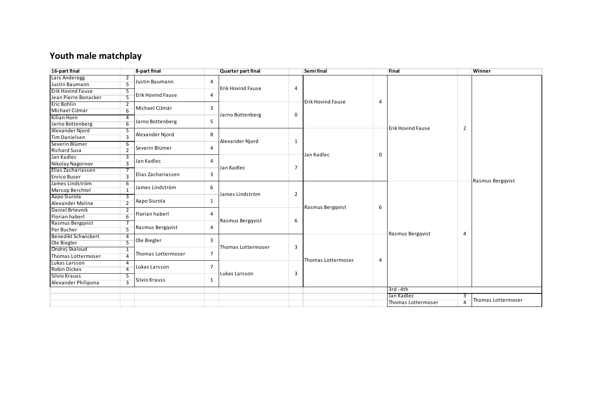## **Youth male matchplay**

| 8-part final<br>16-part final |                |                          | Quarter part final |                          |                | Semi final               |   | Final                    |                | Winner             |  |  |
|-------------------------------|----------------|--------------------------|--------------------|--------------------------|----------------|--------------------------|---|--------------------------|----------------|--------------------|--|--|
| Lars Anderegg                 |                |                          |                    |                          |                |                          |   |                          |                |                    |  |  |
| Justin Baumann                |                | Justin Baumann           | 4                  |                          |                |                          |   |                          |                |                    |  |  |
| <b>Erik Hovind Fause</b>      | 5              |                          |                    | <b>Erik Hovind Fause</b> | 4              |                          |   |                          |                |                    |  |  |
| Jean Pierre Bonacker          |                | <b>Erik Hovind Fause</b> | 4                  |                          |                | <b>Erik Hovind Fause</b> |   |                          |                |                    |  |  |
| <b>Eric Bohlin</b>            | 2              |                          |                    |                          |                |                          | 4 |                          |                |                    |  |  |
| Michael Ciżmár                |                | Michael Cižmár           | 3                  |                          |                |                          |   |                          |                |                    |  |  |
| Kilian Horn                   | 4              |                          |                    | Jarno Bottenberg         | 0              |                          |   |                          |                |                    |  |  |
| Jarno Bottenberg              |                | Jarno Bottenberg         | 5                  |                          |                |                          |   |                          |                |                    |  |  |
| Alexander Niord               | 5              |                          | 8                  |                          |                |                          |   | <b>Erik Hovind Fause</b> | $\overline{2}$ |                    |  |  |
| <b>Tim Danielsen</b>          |                | Alexander Njord          |                    |                          |                |                          |   |                          |                |                    |  |  |
| Severin Blümer                | 6              |                          |                    | Alexander Niord          | 1              |                          |   |                          |                |                    |  |  |
| <b>Richard Susa</b>           | $\overline{2}$ | Severin Blümer           | 4                  |                          |                |                          |   |                          |                |                    |  |  |
| Jan Kadlec                    | 3              |                          |                    |                          |                | Jan Kadlec               | 0 |                          |                |                    |  |  |
| Nikolay Nagornov              | $\mathbf{3}$   | Jan Kadlec               | 4                  |                          |                |                          |   |                          |                |                    |  |  |
| Elias Zachariassen            |                |                          |                    | Jan Kadlec               | $\overline{7}$ |                          |   |                          |                |                    |  |  |
| <b>Enrico Buser</b>           | $\mathbf{3}$   | Elias Zachariassen       | 3                  |                          |                |                          |   |                          |                |                    |  |  |
| James Lindström               | 6              |                          |                    |                          |                |                          |   |                          |                | Rasmus Bergqvist   |  |  |
| Marcop Berchtel               | -1             | James Lindström          | 6                  | James Lindström          |                |                          |   |                          |                |                    |  |  |
| Aapo Siurola                  | 3              | Aapo Siurola             |                    |                          | $\overline{2}$ |                          |   |                          |                |                    |  |  |
| Alexander Malina              | $\overline{2}$ |                          | 1                  |                          |                |                          |   |                          |                |                    |  |  |
| Daniel Brtevnik               |                | Florian haberl           | 4                  |                          |                | Rasmus Bergqvist         | 6 |                          |                |                    |  |  |
| Florian haberl                |                |                          |                    | Rasmus Bergqvist         | 6              |                          |   |                          |                |                    |  |  |
| Rasmus Bergqvist              |                |                          | $\overline{4}$     |                          |                |                          |   |                          |                |                    |  |  |
| Per Bucher                    |                | Rasmus Bergqvist         |                    |                          |                |                          |   |                          |                |                    |  |  |
| <b>Benedikt Schwickert</b>    | 4              |                          |                    |                          |                |                          |   | Rasmus Bergqvist         | 4              |                    |  |  |
| Ole Biegler                   |                | Ole Biegler              | 3                  |                          | 3              |                          |   |                          |                |                    |  |  |
| Ondrej Skaloud                | -1             | Thomas Lottermoser       | $\overline{7}$     | Thomas Lottermoser       |                |                          |   |                          |                |                    |  |  |
| Thomas Lottermoser            | 4              |                          |                    |                          |                |                          |   |                          |                |                    |  |  |
| Lukas Larsson                 |                |                          | $\overline{7}$     |                          |                | Thomas Lottermoser       | 4 |                          |                |                    |  |  |
| <b>Robin Dickes</b>           | $\overline{4}$ | Lukas Larsson            |                    |                          |                |                          |   |                          |                |                    |  |  |
| Silvio Krauss                 | 5              | Silvio Krauss            |                    | Lukas Larsson            | 3              |                          |   |                          |                |                    |  |  |
| Alexander Philipona           | $\overline{3}$ |                          | 1                  |                          |                |                          |   |                          |                |                    |  |  |
|                               |                |                          |                    |                          |                |                          |   | $3rd - 4th$              |                |                    |  |  |
|                               |                |                          |                    |                          |                |                          |   | Jan Kadlec               | 3              | Thomas Lottermoser |  |  |
|                               |                |                          |                    |                          |                |                          |   | Thomas Lottermoser       |                |                    |  |  |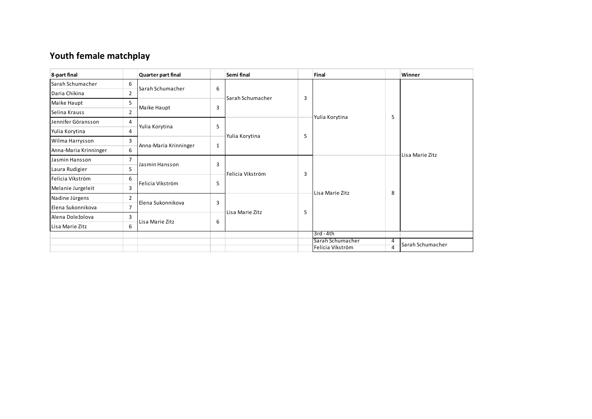## **Youth female matchplay**

| 8-part final          |                | Quarter part final    |   | Semi final       |   | Final            |                | Winner           |  |
|-----------------------|----------------|-----------------------|---|------------------|---|------------------|----------------|------------------|--|
| Sarah Schumacher      | 6              | Sarah Schumacher      | 6 |                  |   |                  |                |                  |  |
| Daria Chikina         | $\overline{2}$ |                       |   | Sarah Schumacher | 3 |                  |                |                  |  |
| Maike Haupt           | 5              | Maike Haupt           | 3 |                  |   |                  |                |                  |  |
| Selina Krauss         | $\overline{2}$ |                       |   |                  |   |                  | 5              |                  |  |
| Jennifer Göransson    | 4              |                       | 5 |                  |   | Yulia Korytina   |                |                  |  |
| Yulia Korytina        | 4              | Yulia Korytina        |   |                  | 5 |                  |                |                  |  |
| Wilma Harrysson       | 3              |                       |   | Yulia Korytina   |   |                  |                |                  |  |
| Anna-Maria Krinninger | 6              | Anna-Maria Krinninger | 1 |                  |   |                  |                | Lisa Marie Zitz  |  |
| Jasmin Hansson        | $\overline{7}$ |                       | 3 |                  |   |                  |                |                  |  |
| Laura Rudigier        | 5              | Jasmin Hansson        |   |                  | 3 |                  |                |                  |  |
| Felicia Vikström      | 6              | Felicia Vikström      | 5 | Felicia Vikström |   |                  |                |                  |  |
| Melanie Jurgeleit     | 3              |                       |   |                  |   |                  |                |                  |  |
| Nadine Jürgens        | $\overline{2}$ |                       | 3 |                  |   | Lisa Marie Zitz  | 8              |                  |  |
| Elena Sukonnikova     | $\overline{7}$ | Elena Sukonnikova     |   |                  | 5 |                  |                |                  |  |
| Alena Doležolova      | 3              |                       |   | Lisa Marie Zitz  |   |                  |                |                  |  |
| Lisa Marie Zitz       | 6              | Lisa Marie Zitz       | 6 |                  |   |                  |                |                  |  |
|                       |                |                       |   |                  |   | 3rd-4th          |                |                  |  |
|                       |                |                       |   |                  |   | Sarah Schumacher | 4              |                  |  |
|                       |                |                       |   |                  |   | Felicia Vikström | $\overline{4}$ | Sarah Schumacher |  |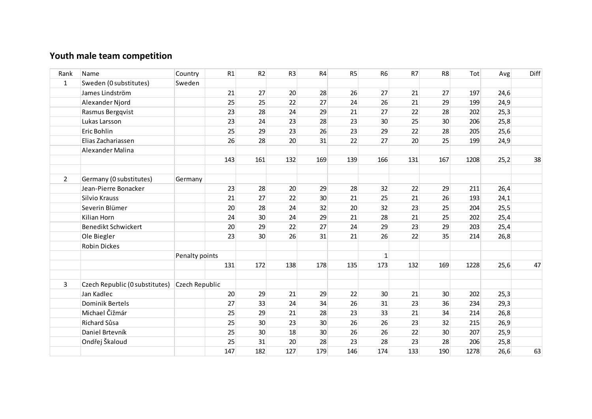## **Youth male team competition**

| Rank           | Name                           | Country        | R1  | R2              | R <sub>3</sub> | R <sub>4</sub>  | R <sub>5</sub> | <b>R6</b>    | R7  | R <sub>8</sub>  | Tot  | Avg  | Diff |
|----------------|--------------------------------|----------------|-----|-----------------|----------------|-----------------|----------------|--------------|-----|-----------------|------|------|------|
| $\mathbf{1}$   | Sweden (0 substitutes)         | Sweden         |     |                 |                |                 |                |              |     |                 |      |      |      |
|                | James Lindström                |                | 21  | 27              | 20             | 28              | 26             | 27           | 21  | 27              | 197  | 24,6 |      |
|                | Alexander Njord                |                | 25  | 25              | 22             | 27              | 24             | 26           | 21  | 29              | 199  | 24,9 |      |
|                | Rasmus Bergqvist               |                | 23  | 28              | 24             | 29              | 21             | 27           | 22  | 28              | 202  | 25,3 |      |
|                | Lukas Larsson                  |                | 23  | 24              | 23             | 28              | 23             | 30           | 25  | 30 <sup>°</sup> | 206  | 25,8 |      |
|                | Eric Bohlin                    |                | 25  | 29              | 23             | 26              | 23             | 29           | 22  | 28              | 205  | 25,6 |      |
|                | Elias Zachariassen             |                | 26  | 28              | 20             | 31              | 22             | 27           | 20  | 25              | 199  | 24,9 |      |
|                | Alexander Malina               |                |     |                 |                |                 |                |              |     |                 |      |      |      |
|                |                                |                | 143 | 161             | 132            | 169             | 139            | 166          | 131 | 167             | 1208 | 25,2 | 38   |
|                |                                |                |     |                 |                |                 |                |              |     |                 |      |      |      |
| $\overline{2}$ | Germany (0 substitutes)        | Germany        |     |                 |                |                 |                |              |     |                 |      |      |      |
|                | Jean-Pierre Bonacker           |                | 23  | 28              | 20             | 29              | 28             | 32           | 22  | 29              | 211  | 26,4 |      |
|                | Silvio Krauss                  |                | 21  | 27              | 22             | 30 <sup>°</sup> | 21             | 25           | 21  | 26              | 193  | 24,1 |      |
|                | Severin Blümer                 |                | 20  | 28              | 24             | 32              | 20             | 32           | 23  | 25              | 204  | 25,5 |      |
|                | Kilian Horn                    |                | 24  | 30 <sup>°</sup> | 24             | 29              | 21             | 28           | 21  | 25              | 202  | 25,4 |      |
|                | Benedikt Schwickert            |                | 20  | 29              | 22             | 27              | 24             | 29           | 23  | 29              | 203  | 25,4 |      |
|                | Ole Biegler                    |                | 23  | 30 <sup>°</sup> | 26             | 31              | 21             | 26           | 22  | 35              | 214  | 26,8 |      |
|                | <b>Robin Dickes</b>            |                |     |                 |                |                 |                |              |     |                 |      |      |      |
|                |                                | Penalty points |     |                 |                |                 |                | $\mathbf{1}$ |     |                 |      |      |      |
|                |                                |                | 131 | 172             | 138            | 178             | 135            | 173          | 132 | 169             | 1228 | 25,6 | 47   |
|                |                                |                |     |                 |                |                 |                |              |     |                 |      |      |      |
| 3              | Czech Republic (0 substitutes) | Czech Republic |     |                 |                |                 |                |              |     |                 |      |      |      |
|                | Jan Kadlec                     |                | 20  | 29              | 21             | 29              | 22             | 30           | 21  | 30 <sup>°</sup> | 202  | 25,3 |      |
|                | Dominik Bertels                |                | 27  | 33              | 24             | 34              | 26             | 31           | 23  | 36              | 234  | 29,3 |      |
|                | Michael Čižmár                 |                | 25  | 29              | 21             | 28              | 23             | 33           | 21  | 34              | 214  | 26,8 |      |
|                | Richard Sůsa                   |                | 25  | 30 <sup>2</sup> | 23             | 30 <sup>°</sup> | 26             | 26           | 23  | 32              | 215  | 26,9 |      |
|                | Daniel Brtevník                |                | 25  | 30 <sup>°</sup> | 18             | 30              | 26             | 26           | 22  | 30 <sup>°</sup> | 207  | 25,9 |      |
|                | Ondřej Škaloud                 |                | 25  | 31              | 20             | 28              | 23             | 28           | 23  | 28              | 206  | 25,8 |      |
|                |                                |                | 147 | 182             | 127            | 179             | 146            | 174          | 133 | 190             | 1278 | 26,6 | 63   |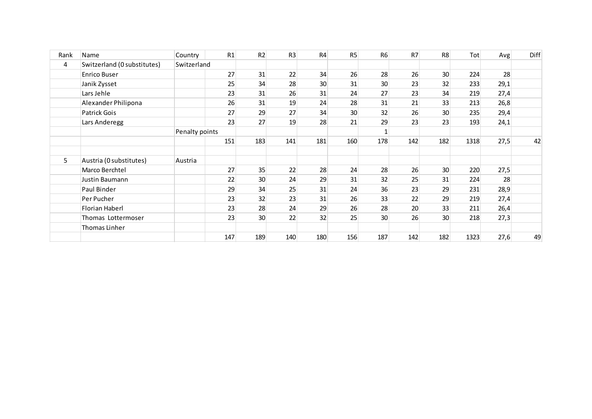| Rank | Name                        | Country        | R1  | R2              | R <sub>3</sub> | R <sub>4</sub> | R5              | R <sub>6</sub> | R7  | R <sub>8</sub>  | Tot  | Avg  | Diff |
|------|-----------------------------|----------------|-----|-----------------|----------------|----------------|-----------------|----------------|-----|-----------------|------|------|------|
| 4    | Switzerland (0 substitutes) | Switzerland    |     |                 |                |                |                 |                |     |                 |      |      |      |
|      | <b>Enrico Buser</b>         |                | 27  | 31              | 22             | 34             | 26              | 28             | 26  | 30 <sup>°</sup> | 224  | 28   |      |
|      | Janik Zysset                |                | 25  | 34              | 28             | 30             | 31              | 30             | 23  | 32              | 233  | 29,1 |      |
|      | Lars Jehle                  |                | 23  | 31              | 26             | 31             | 24              | 27             | 23  | 34              | 219  | 27,4 |      |
|      | Alexander Philipona         |                | 26  | 31              | 19             | 24             | 28              | 31             | 21  | 33              | 213  | 26,8 |      |
|      | Patrick Gois                |                | 27  | 29              | 27             | 34             | 30 <sup>°</sup> | 32             | 26  | 30              | 235  | 29,4 |      |
|      | Lars Anderegg               |                | 23  | 27              | 19             | 28             | 21              | 29             | 23  | 23              | 193  | 24,1 |      |
|      |                             | Penalty points |     |                 |                |                |                 |                |     |                 |      |      |      |
|      |                             |                | 151 | 183             | 141            | 181            | 160             | 178            | 142 | 182             | 1318 | 27,5 | 42   |
| 5.   | Austria (0 substitutes)     | Austria        |     |                 |                |                |                 |                |     |                 |      |      |      |
|      | Marco Berchtel              |                | 27  | 35              | 22             | 28             | 24              | 28             | 26  | 30 <sup>°</sup> | 220  | 27,5 |      |
|      | Justin Baumann              |                | 22  | 30 <sup>°</sup> | 24             | 29             | 31              | 32             | 25  | 31              | 224  | 28   |      |
|      | Paul Binder                 |                | 29  | 34              | 25             | 31             | 24              | 36             | 23  | 29              | 231  | 28,9 |      |
|      | Per Pucher                  |                | 23  | 32              | 23             | 31             | 26              | 33             | 22  | 29              | 219  | 27,4 |      |
|      | <b>Florian Haberl</b>       |                | 23  | 28              | 24             | 29             | 26              | 28             | 20  | 33              | 211  | 26,4 |      |
|      | Thomas Lottermoser          |                | 23  | 30 <sup>°</sup> | 22             | 32             | 25              | 30             | 26  | 30 <sup>°</sup> | 218  | 27,3 |      |
|      | Thomas Linher               |                |     |                 |                |                |                 |                |     |                 |      |      |      |
|      |                             |                | 147 | 189             | 140            | 180            | 156             | 187            | 142 | 182             | 1323 | 27,6 | 49   |